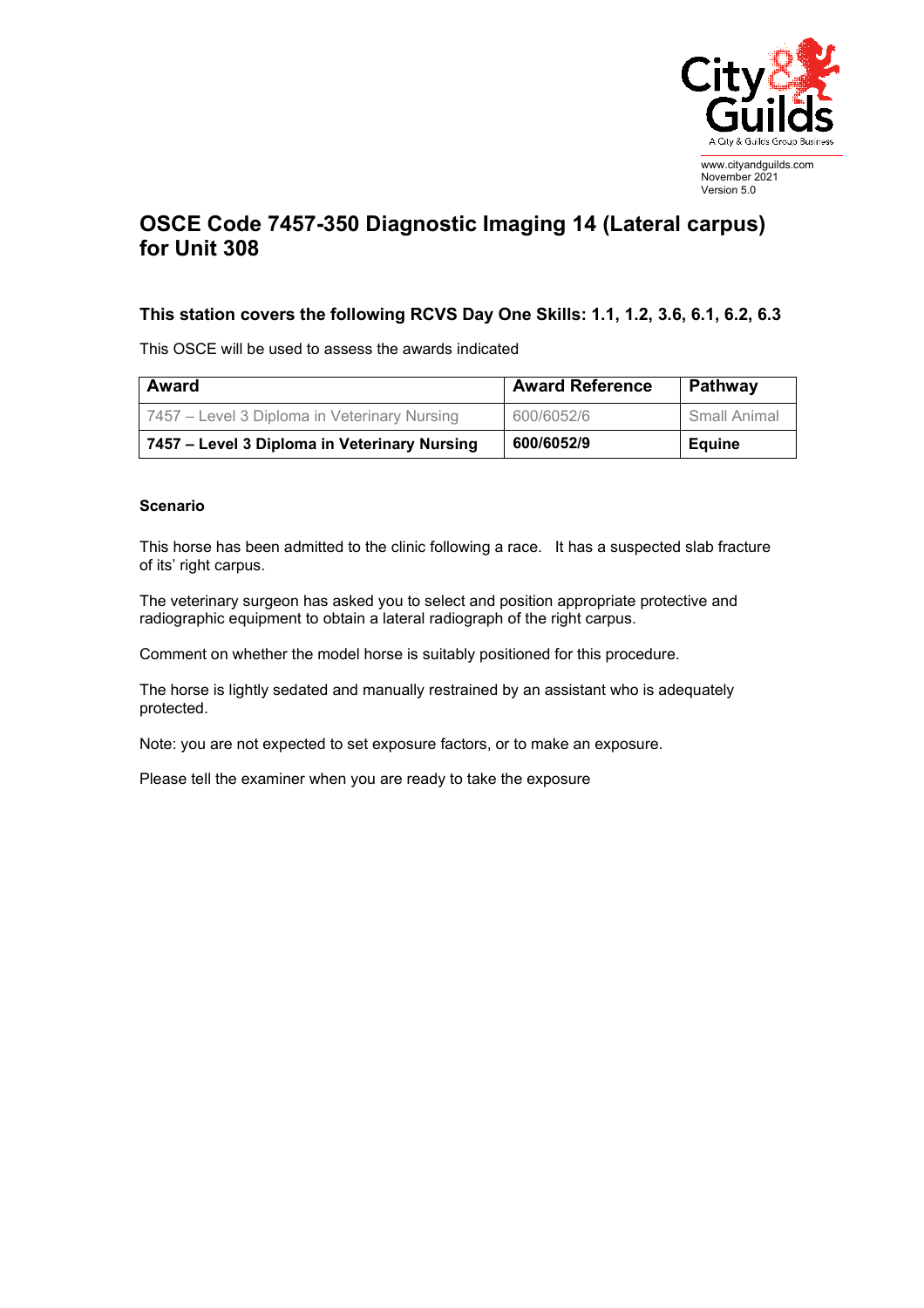

## **OSCE Code 7457-350 Diagnostic Imaging 14 (Lateral carpus) for Unit 308**

## **This station covers the following RCVS Day One Skills: 1.1, 1.2, 3.6, 6.1, 6.2, 6.3**

This OSCE will be used to assess the awards indicated

| Award                                        | <b>Award Reference</b> | Pathway      |
|----------------------------------------------|------------------------|--------------|
| 7457 – Level 3 Diploma in Veterinary Nursing | 600/6052/6             | Small Animal |
| 7457 – Level 3 Diploma in Veterinary Nursing | 600/6052/9             | Eauine       |

## **Scenario**

This horse has been admitted to the clinic following a race. It has a suspected slab fracture of its' right carpus.

The veterinary surgeon has asked you to select and position appropriate protective and radiographic equipment to obtain a lateral radiograph of the right carpus.

Comment on whether the model horse is suitably positioned for this procedure.

The horse is lightly sedated and manually restrained by an assistant who is adequately protected.

Note: you are not expected to set exposure factors, or to make an exposure.

Please tell the examiner when you are ready to take the exposure